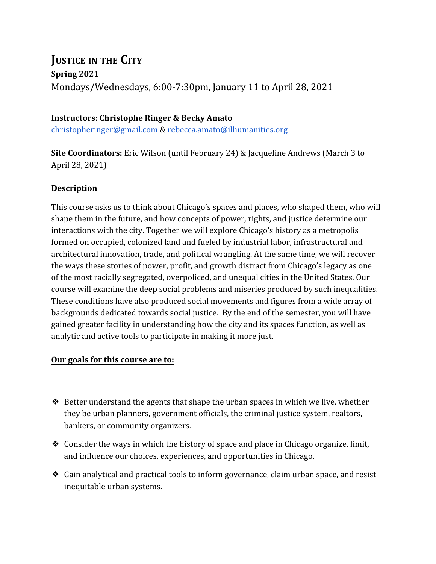# **JUSTICE IN THE CITY Spring 2021** Mondays/Wednesdays, 6:00-7:30pm, January 11 to April 28, 2021

## **Instructors: Christophe Ringer & Becky Amato**

[christopheringer@gmail.com](mailto:christopheringer@gmail.com) & [rebecca.amato@ilhumanities.org](mailto:rebecca.amato@ilhumanities.org)

**Site Coordinators:** Eric Wilson (until February 24) & Jacqueline Andrews (March 3 to April 28, 2021)

## **Description**

This course asks us to think about Chicago's spaces and places, who shaped them, who will shape them in the future, and how concepts of power, rights, and justice determine our interactions with the city. Together we will explore Chicago's history as a metropolis formed on occupied, colonized land and fueled by industrial labor, infrastructural and architectural innovation, trade, and political wrangling. At the same time, we will recover the ways these stories of power, profit, and growth distract from Chicago's legacy as one of the most racially segregated, overpoliced, and unequal cities in the United States. Our course will examine the deep social problems and miseries produced by such inequalities. These conditions have also produced social movements and figures from a wide array of backgrounds dedicated towards social justice. By the end of the semester, you will have gained greater facility in understanding how the city and its spaces function, as well as analytic and active tools to participate in making it more just.

#### **Our goals for this course are to:**

- $\triangle$  Better understand the agents that shape the urban spaces in which we live, whether they be urban planners, government officials, the criminal justice system, realtors, bankers, or community organizers.
- ❖ Consider the ways in which the history of space and place in Chicago organize, limit, and influence our choices, experiences, and opportunities in Chicago.
- ❖ Gain analytical and practical tools to inform governance, claim urban space, and resist inequitable urban systems.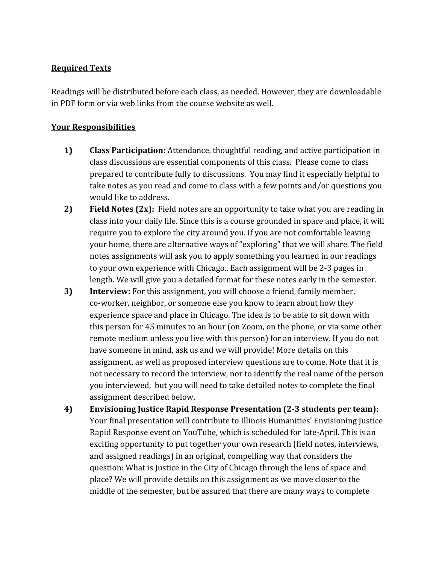# **Required Texts**

Readings will be distributed before each class, as needed. However, they are downloadable in PDF form or via web links from the course website as well.

## **Your Responsibilities**

- **1) Class Participation:** Attendance, thoughtful reading, and active participation in class discussions are essential components of this class. Please come to class prepared to contribute fully to discussions. You may find it especially helpful to take notes as you read and come to class with a few points and/or questions you would like to address.
- **2) Field Notes (2x):** Field notes are an opportunity to take what you are reading in class into your daily life. Since this is a course grounded in space and place, it will require you to explore the city around you. If you are not comfortable leaving your home, there are alternative ways of "exploring" that we will share. The field notes assignments will ask you to apply something you learned in our readings to your own experience with Chicago.. Each assignment will be 2-3 pages in length. We will give you a detailed format for these notes early in the semester.
- **3) Interview:** For this assignment, you will choose a friend, family member, co-worker, neighbor, or someone else you know to learn about how they experience space and place in Chicago. The idea is to be able to sit down with this person for 45 minutes to an hour (on Zoom, on the phone, or via some other remote medium unless you live with this person) for an interview. If you do not have someone in mind, ask us and we will provide! More details on this assignment, as well as proposed interview questions are to come. Note that it is not necessary to record the interview, nor to identify the real name of the person you interviewed, but you will need to take detailed notes to complete the final assignment described below.
- **4) Envisioning Justice Rapid Response Presentation (2-3 students per team):** Your final presentation will contribute to Illinois Humanities' Envisioning Justice Rapid Response event on YouTube, which is scheduled for late-April. This is an exciting opportunity to put together your own research (field notes, interviews, and assigned readings) in an original, compelling way that considers the question: What is Justice in the City of Chicago through the lens of space and place? We will provide details on this assignment as we move closer to the middle of the semester, but be assured that there are many ways to complete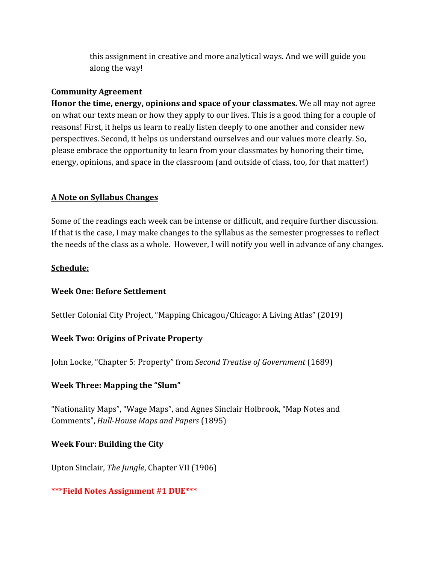this assignment in creative and more analytical ways. And we will guide you along the way!

#### **Community Agreement**

**Honor the time, energy, opinions and space of your classmates.** We all may not agree on what our texts mean or how they apply to our lives. This is a good thing for a couple of reasons! First, it helps us learn to really listen deeply to one another and consider new perspectives. Second, it helps us understand ourselves and our values more clearly. So, please embrace the opportunity to learn from your classmates by honoring their time, energy, opinions, and space in the classroom (and outside of class, too, for that matter!)

# **A Note on Syllabus Changes**

Some of the readings each week can be intense or difficult, and require further discussion. If that is the case, I may make changes to the syllabus as the semester progresses to reflect the needs of the class as a whole. However, I will notify you well in advance of any changes.

## **Schedule:**

# **Week One: Before Settlement**

Settler Colonial City Project, "Mapping Chicagou/Chicago: A Living Atlas" (2019)

# **Week Two: Origins of Private Property**

John Locke, "Chapter 5: Property" from *Second Treatise of Government* (1689)

# **Week Three: Mapping the "Slum"**

"Nationality Maps", "Wage Maps", and Agnes Sinclair Holbrook, "Map Notes and Comments", *Hull-House Maps and Papers* (1895)

# **Week Four: Building the City**

Upton Sinclair, *The Jungle*, Chapter VII (1906)

# **\*\*\*Field Notes Assignment #1 DUE\*\*\***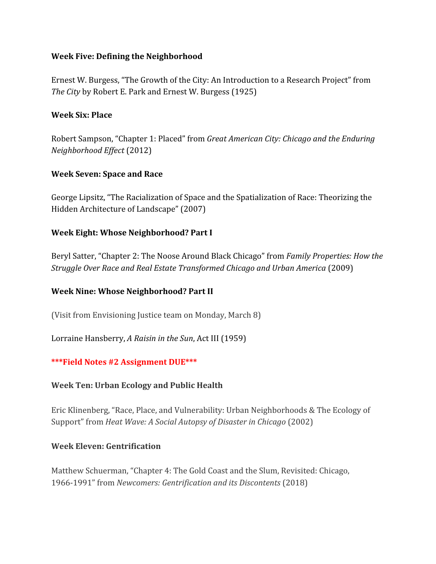## **Week Five: Defining the Neighborhood**

Ernest W. Burgess, "The Growth of the City: An Introduction to a Research Project" from *The City* by Robert E. Park and Ernest W. Burgess (1925)

## **Week Six: Place**

Robert Sampson, "Chapter 1: Placed" from *Great American City: Chicago and the Enduring Neighborhood Effect* (2012)

# **Week Seven: Space and Race**

George Lipsitz, "The Racialization of Space and the Spatialization of Race: Theorizing the Hidden Architecture of Landscape" (2007)

## **Week Eight: Whose Neighborhood? Part I**

Beryl Satter, "Chapter 2: The Noose Around Black Chicago" from *Family Properties: How the Struggle Over Race and Real Estate Transformed Chicago and Urban America* (2009)

# **Week Nine: Whose Neighborhood? Part II**

(Visit from Envisioning Justice team on Monday, March 8)

Lorraine Hansberry, *A Raisin in the Sun*, Act III (1959)

# **\*\*\*Field Notes #2 Assignment DUE\*\*\***

#### **Week Ten: Urban Ecology and Public Health**

Eric Klinenberg, "Race, Place, and Vulnerability: Urban Neighborhoods & The Ecology of Support" from *Heat Wave: A Social Autopsy of Disaster in Chicago* (2002)

#### **Week Eleven: Gentrification**

Matthew Schuerman, "Chapter 4: The Gold Coast and the Slum, Revisited: Chicago, 1966-1991" from *Newcomers: Gentrification and its Discontents* (2018)